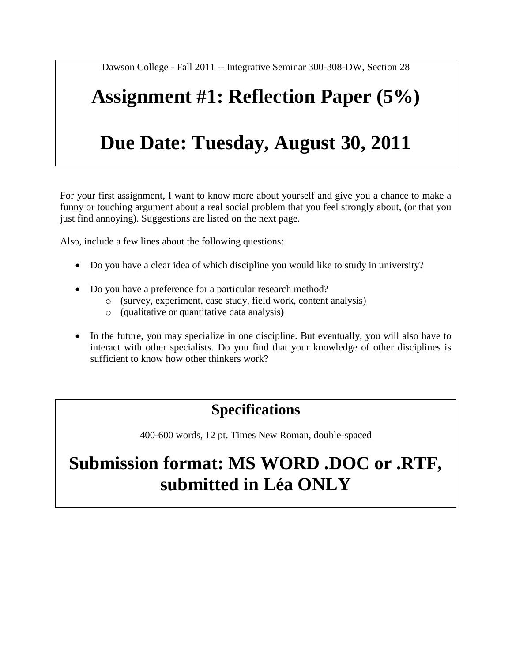Dawson College - Fall 2011 -- Integrative Seminar 300-308-DW, Section 28

# **Assignment #1: Reflection Paper (5%)**

## **Due Date: Tuesday, August 30, 2011**

For your first assignment, I want to know more about yourself and give you a chance to make a funny or touching argument about a real social problem that you feel strongly about, (or that you just find annoying). Suggestions are listed on the next page.

Also, include a few lines about the following questions:

- Do you have a clear idea of which discipline you would like to study in university?
- Do you have a preference for a particular research method?
	- o (survey, experiment, case study, field work, content analysis)
	- o (qualitative or quantitative data analysis)
- In the future, you may specialize in one discipline. But eventually, you will also have to interact with other specialists. Do you find that your knowledge of other disciplines is sufficient to know how other thinkers work?

### **Specifications**

400-600 words, 12 pt. Times New Roman, double-spaced

### **Submission format: MS WORD .DOC or .RTF, submitted in Léa ONLY**